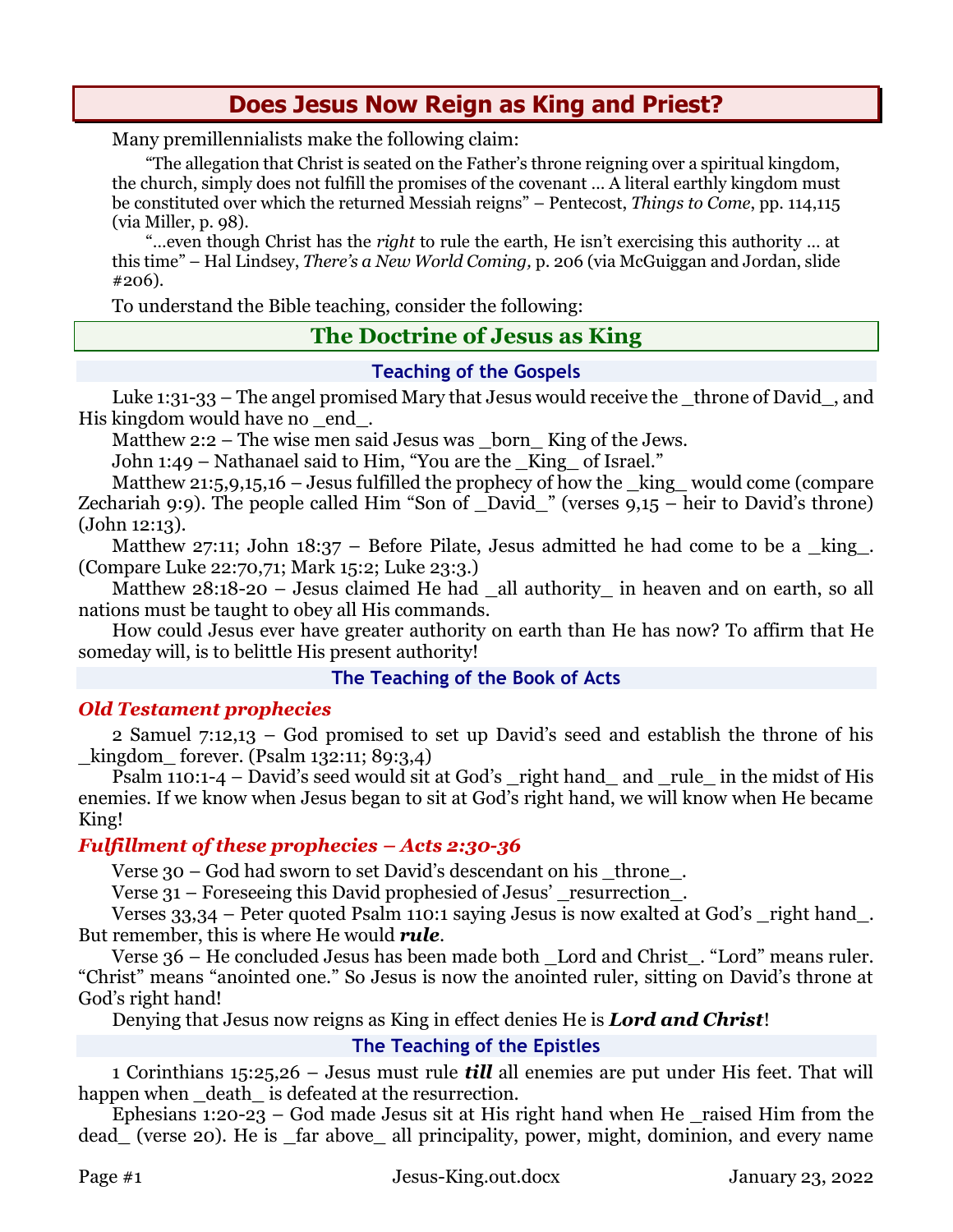# **Does Jesus Now Reign as King and Priest?**

Many premillennialists make the following claim:

"The allegation that Christ is seated on the Father's throne reigning over a spiritual kingdom, the church, simply does not fulfill the promises of the covenant … A literal earthly kingdom must be constituted over which the returned Messiah reigns" – Pentecost, *Things to Come*, pp. 114,115 (via Miller, p. 98).

"…even though Christ has the *right* to rule the earth, He isn't exercising this authority … at this time" – Hal Lindsey, *There's a New World Coming,* p. 206 (via McGuiggan and Jordan, slide #206).

To understand the Bible teaching, consider the following:

## **The Doctrine of Jesus as King**

#### **Teaching of the Gospels**

Luke 1:31-33 – The angel promised Mary that Jesus would receive the  $\pm$  throne of David  $\pm$ , and His kingdom would have no end.

Matthew 2:2 – The wise men said Jesus was \_born\_King of the Jews.

John 1:49 – Nathanael said to Him, "You are the \_King\_ of Israel."

Matthew 21:5,9,15,16 – Jesus fulfilled the prophecy of how the  $\;$ king would come (compare Zechariah 9:9). The people called Him "Son of  $\Delta$ David\_" (verses 9,15 – heir to David's throne) (John 12:13).

Matthew 27:11; John 18:37 – Before Pilate, Jesus admitted he had come to be a  $_k$ king. (Compare Luke 22:70,71; Mark 15:2; Luke 23:3.)

Matthew 28:18-20 – Jesus claimed He had \_all authority\_ in heaven and on earth, so all nations must be taught to obey all His commands.

How could Jesus ever have greater authority on earth than He has now? To affirm that He someday will, is to belittle His present authority!

#### **The Teaching of the Book of Acts**

#### *Old Testament prophecies*

2 Samuel 7:12,13 – God promised to set up David's seed and establish the throne of his kingdom forever. (Psalm 132:11; 89:3,4)

Psalm 110:1-4 – David's seed would sit at God's \_right hand\_ and \_rule\_ in the midst of His enemies. If we know when Jesus began to sit at God's right hand, we will know when He became King!

#### *Fulfillment of these prophecies – Acts 2:30-36*

Verse 30 – God had sworn to set David's descendant on his \_throne\_.

Verse 31 – Foreseeing this David prophesied of Jesus' resurrection.

Verses 33,34 – Peter quoted Psalm 110:1 saying Jesus is now exalted at God's \_right hand\_. But remember, this is where He would *rule*.

Verse 36 – He concluded Jesus has been made both \_Lord and Christ\_. "Lord" means ruler. "Christ" means "anointed one." So Jesus is now the anointed ruler, sitting on David's throne at God's right hand!

Denying that Jesus now reigns as King in effect denies He is *Lord and Christ*!

#### **The Teaching of the Epistles**

1 Corinthians 15:25,26 – Jesus must rule *till* all enemies are put under His feet. That will happen when death is defeated at the resurrection.

Ephesians  $1:20-23$  – God made Jesus sit at His right hand when He raised Him from the dead\_ (verse 20). He is \_far above\_ all principality, power, might, dominion, and every name